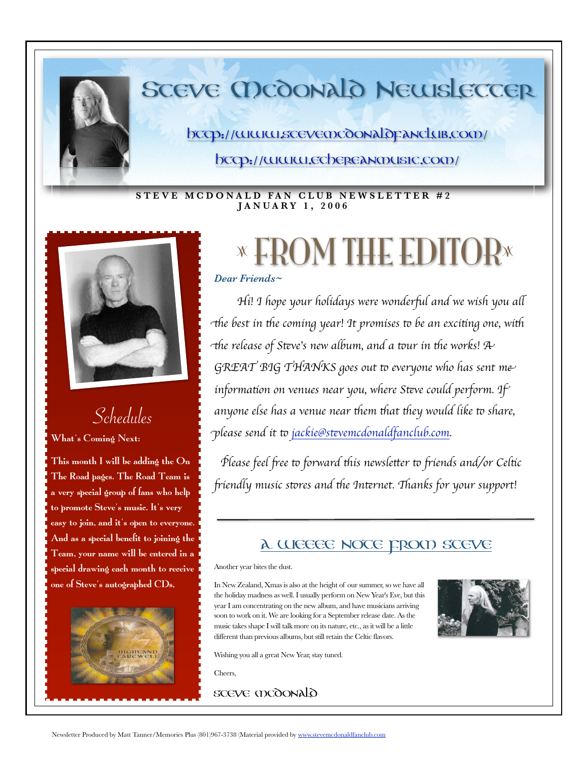

# SCEVE MCOONALO NEWSLETTER

http://www.stevemcdonaldpanclub.com/

http://www.ethereanmusic.com/

### **STEVE MCDONALD FAN CLUB NEWSLETTER #2 J A N U A R Y 1 , 2 0 0 6**



# Schedules

#### What's Coming Next:

This month I will be adding the On The Road pages. The Road Team is a very special group of fans who help to promote Steve's music. It's very easy to join, and it's open to everyone. And as a special benefit to joining the Team, your name will be entered in a special drawing each month to receive one of Steve's autographed CDs,



# **x FROM THE EDITOR\***

## *Dear Friends~*

*Hi! I hope your holidays were wonderful and we wish you all*  $+$ the best in the coming year! It promises to be an exciting one, with *the release of Steve's new album, and a tour in the works!*  $\mathcal{A}$ GREAT BIG THANKS goes out to everyone who has sent me *information on venues near you, where Steve could perform.* If *anyone else has a venue near* \$*em* \$*at* \$*ey would like* % *share,*  p*lease send it* % *jackie@s*'*[vemcdonaldfanclub.com](mailto:jackie@stevemcdonaldfanclub.com).*

*Please feel free to forward this newsletter to friends and/or Celtic* 0*iendly music s*%*res and* \$*e In*'*rnet.* 2*anks for your support!*

# A WEEEE Note from Steve

#### Another year bites the dust.

In New Zealand, Xmas is also at the height of our summer, so we have all the holiday madness as well. I usually perform on New Year's Eve, but this year I am concentrating on the new album, and have musicians arriving soon to work on it. We are looking for a September release date. As the music takes shape I will talk more on its nature, etc., as it will be a little different than previous albums, but still retain the Celtic flavors.



Wishing you all a great New Year, stay tuned.

Cheers,

STEVE MCDONALD